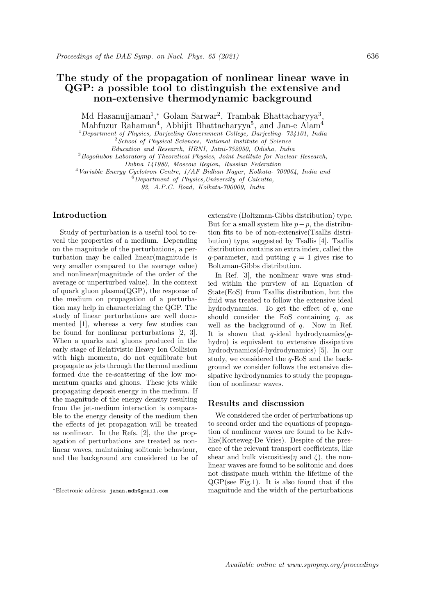## The study of the propagation of nonlinear linear wave in QGP: a possible tool to distinguish the extensive and non-extensive thermodynamic background

Md Hasanujjaman<sup>1</sup>,\* Golam Sarwar<sup>2</sup>, Trambak Bhattacharyya<sup>3</sup>,

Mahfuzur Rahaman<sup>4</sup>, Abhijit Bhattacharyya<sup>5</sup>, and Jan-e Alam<sup>4</sup>

<sup>1</sup> Department of Physics, Darjeeling Government College, Darjeeling-  $734101$ , India

 $2$ School of Physical Sciences, National Institute of Science

Education and Research, HBNI, Jatni-752050, Odisha, India

<sup>3</sup>Bogoliubov Laboratory of Theoretical Physics, Joint Institute for Nuclear Research,

Dubna 141980, Moscow Region, Russian Federation

<sup>4</sup>Variable Energy Cyclotron Centre, 1/AF Bidhan Nagar, Kolkata- 700064, India and  $\overset{\circ}{\circ}$ Department of Physics, University of Calcutta,

92, A.P.C. Road, Kolkata-700009, India

## Introduction

Study of perturbation is a useful tool to reveal the properties of a medium. Depending on the magnitude of the perturbations, a perturbation may be called linear(magnitude is very smaller compared to the average value) and nonlinear(magnitude of the order of the average or unperturbed value). In the context of quark gluon plasma(QGP), the response of the medium on propagation of a perturbation may help in characterizing the QGP. The study of linear perturbations are well documented [1], whereas a very few studies can be found for nonlinear perturbations [2, 3]. When a quarks and gluons produced in the early stage of Relativistic Heavy Ion Collision with high momenta, do not equilibrate but propagate as jets through the thermal medium formed due the re-scattering of the low momentum quarks and gluons. These jets while propagating deposit energy in the medium. If the magnitude of the energy density resulting from the jet-medium interaction is comparable to the energy density of the medium then the effects of jet propagation will be treated as nonlinear. In the Refs. [2], the the propagation of perturbations are treated as nonlinear waves, maintaining solitonic behaviour, and the background are considered to be of extensive (Boltzman-Gibbs distribution) type. But for a small system like  $p-p$ , the distribution fits to be of non-extensive(Tsallis distribution) type, suggested by Tsallis [4]. Tsallis distribution contains an extra index, called the q-parameter, and putting  $q = 1$  gives rise to Boltzman-Gibbs distribution.

In Ref. [3], the nonlinear wave was studied within the purview of an Equation of State(EoS) from Tsallis distribution, but the fluid was treated to follow the extensive ideal hydrodynamics. To get the effect of  $q$ , one should consider the EoS containing  $q$ , as well as the background of  $q$ . Now in Ref. It is shown that q-ideal hydrodynamics( $q$ hydro) is equivalent to extensive dissipative hydrodynamics(d-hydrodynamics) [5]. In our study, we considered the  $q$ -EoS and the background we consider follows the extensive dissipative hydrodynamics to study the propagation of nonlinear waves.

## Results and discussion

We considered the order of perturbations up to second order and the equations of propagation of nonlinear waves are found to be Kdvlike(Korteweg-De Vries). Despite of the presence of the relevant transport coefficients, like shear and bulk viscosities( $\eta$  and  $\zeta$ ), the nonlinear waves are found to be solitonic and does not dissipate much within the lifetime of the QGP(see Fig.1). It is also found that if the magnitude and the width of the perturbations

<sup>∗</sup>Electronic address: jaman.mdh@gmail.com